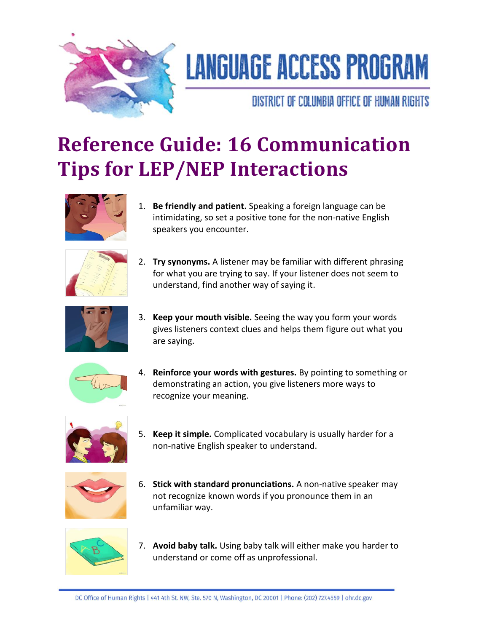

## **LANGUAGE ACCESS PROGRAM**

DISTRICT OF COLUMBIA OFFICE OF HUMAN RIGHTS

## **Reference Guide: 16 Communication Tips for LEP/NEP Interactions**



1. **Be friendly and patient.** Speaking a foreign language can be intimidating, so set a positive tone for the non-native English speakers you encounter.



2. **Try synonyms.** A listener may be familiar with different phrasing for what you are trying to say. If your listener does not seem to understand, find another way of saying it.



3. **Keep your mouth visible.** Seeing the way you form your words gives listeners context clues and helps them figure out what you are saying.



4. **Reinforce your words with gestures.** By pointing to something or demonstrating an action, you give listeners more ways to recognize your meaning.



5. **Keep it simple.** Complicated vocabulary is usually harder for a non-native English speaker to understand.



6. **Stick with standard pronunciations.** A non-native speaker may not recognize known words if you pronounce them in an unfamiliar way.



7. **Avoid baby talk.** Using baby talk will either make you harder to understand or come off as unprofessional.